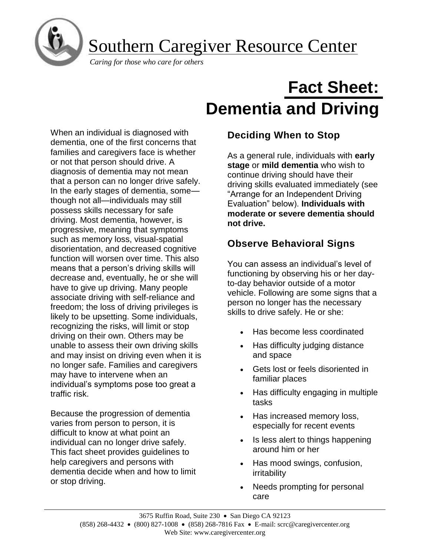

Southern Caregiver Resource Center

*Caring for those who care for others*

# **Fact Sheet: Dementia and Driving**

When an individual is diagnosed with dementia, one of the first concerns that families and caregivers face is whether or not that person should drive. A diagnosis of dementia may not mean that a person can no longer drive safely. In the early stages of dementia, some though not all—individuals may still possess skills necessary for safe driving. Most dementia, however, is progressive, meaning that symptoms such as memory loss, visual-spatial disorientation, and decreased cognitive function will worsen over time. This also means that a person's driving skills will decrease and, eventually, he or she will have to give up driving. Many people associate driving with self-reliance and freedom; the loss of driving privileges is likely to be upsetting. Some individuals, recognizing the risks, will limit or stop driving on their own. Others may be unable to assess their own driving skills and may insist on driving even when it is no longer safe. Families and caregivers may have to intervene when an individual's symptoms pose too great a traffic risk.

Because the progression of dementia varies from person to person, it is difficult to know at what point an individual can no longer drive safely. This fact sheet provides guidelines to help caregivers and persons with dementia decide when and how to limit or stop driving.

## **Deciding When to Stop**

As a general rule, individuals with **early stage** or **mild dementia** who wish to continue driving should have their driving skills evaluated immediately (see "Arrange for an Independent Driving Evaluation" below). **Individuals with moderate or severe dementia should not drive.**

#### **Observe Behavioral Signs**

You can assess an individual's level of functioning by observing his or her dayto-day behavior outside of a motor vehicle. Following are some signs that a person no longer has the necessary skills to drive safely. He or she:

- Has become less coordinated
- Has difficulty judging distance and space
- Gets lost or feels disoriented in familiar places
- Has difficulty engaging in multiple tasks
- Has increased memory loss, especially for recent events
- Is less alert to things happening around him or her
- Has mood swings, confusion, irritability
- Needs prompting for personal care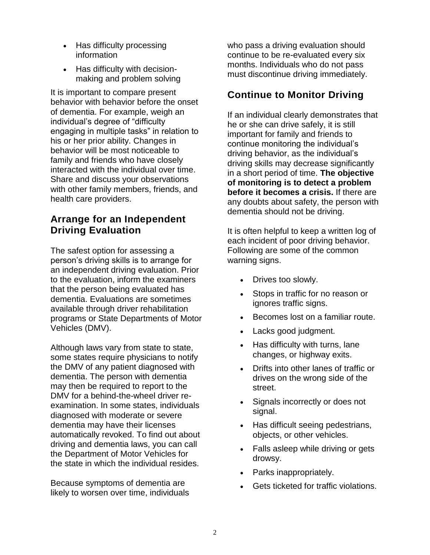- Has difficulty processing information
- Has difficulty with decisionmaking and problem solving

It is important to compare present behavior with behavior before the onset of dementia. For example, weigh an individual's degree of "difficulty engaging in multiple tasks" in relation to his or her prior ability. Changes in behavior will be most noticeable to family and friends who have closely interacted with the individual over time. Share and discuss your observations with other family members, friends, and health care providers.

#### **Arrange for an Independent Driving Evaluation**

The safest option for assessing a person's driving skills is to arrange for an independent driving evaluation. Prior to the evaluation, inform the examiners that the person being evaluated has dementia. Evaluations are sometimes available through driver rehabilitation programs or State Departments of Motor Vehicles (DMV).

Although laws vary from state to state, some states require physicians to notify the DMV of any patient diagnosed with dementia. The person with dementia may then be required to report to the DMV for a behind-the-wheel driver reexamination. In some states, individuals diagnosed with moderate or severe dementia may have their licenses automatically revoked. To find out about driving and dementia laws, you can call the Department of Motor Vehicles for the state in which the individual resides.

Because symptoms of dementia are likely to worsen over time, individuals who pass a driving evaluation should continue to be re-evaluated every six months. Individuals who do not pass must discontinue driving immediately.

#### **Continue to Monitor Driving**

If an individual clearly demonstrates that he or she can drive safely, it is still important for family and friends to continue monitoring the individual's driving behavior, as the individual's driving skills may decrease significantly in a short period of time. **The objective of monitoring is to detect a problem before it becomes a crisis.** If there are any doubts about safety, the person with dementia should not be driving.

It is often helpful to keep a written log of each incident of poor driving behavior. Following are some of the common warning signs.

- Drives too slowly.
- Stops in traffic for no reason or ignores traffic signs.
- Becomes lost on a familiar route.
- Lacks good judgment.
- Has difficulty with turns, lane changes, or highway exits.
- Drifts into other lanes of traffic or drives on the wrong side of the street.
- Signals incorrectly or does not signal.
- Has difficult seeing pedestrians, objects, or other vehicles.
- Falls asleep while driving or gets drowsy.
- Parks inappropriately.
- Gets ticketed for traffic violations.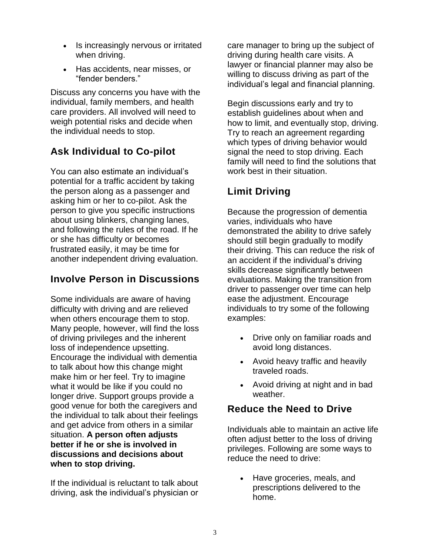- Is increasingly nervous or irritated when driving.
- Has accidents, near misses, or "fender benders."

Discuss any concerns you have with the individual, family members, and health care providers. All involved will need to weigh potential risks and decide when the individual needs to stop.

## **Ask Individual to Co-pilot**

You can also estimate an individual's potential for a traffic accident by taking the person along as a passenger and asking him or her to co-pilot. Ask the person to give you specific instructions about using blinkers, changing lanes, and following the rules of the road. If he or she has difficulty or becomes frustrated easily, it may be time for another independent driving evaluation.

#### **Involve Person in Discussions**

Some individuals are aware of having difficulty with driving and are relieved when others encourage them to stop. Many people, however, will find the loss of driving privileges and the inherent loss of independence upsetting. Encourage the individual with dementia to talk about how this change might make him or her feel. Try to imagine what it would be like if you could no longer drive. Support groups provide a good venue for both the caregivers and the individual to talk about their feelings and get advice from others in a similar situation. **A person often adjusts better if he or she is involved in discussions and decisions about when to stop driving.**

If the individual is reluctant to talk about driving, ask the individual's physician or care manager to bring up the subject of driving during health care visits. A lawyer or financial planner may also be willing to discuss driving as part of the individual's legal and financial planning.

Begin discussions early and try to establish guidelines about when and how to limit, and eventually stop, driving. Try to reach an agreement regarding which types of driving behavior would signal the need to stop driving. Each family will need to find the solutions that work best in their situation.

## **Limit Driving**

Because the progression of dementia varies, individuals who have demonstrated the ability to drive safely should still begin gradually to modify their driving. This can reduce the risk of an accident if the individual's driving skills decrease significantly between evaluations. Making the transition from driver to passenger over time can help ease the adjustment. Encourage individuals to try some of the following examples:

- Drive only on familiar roads and avoid long distances.
- Avoid heavy traffic and heavily traveled roads.
- Avoid driving at night and in bad weather.

#### **Reduce the Need to Drive**

Individuals able to maintain an active life often adjust better to the loss of driving privileges. Following are some ways to reduce the need to drive:

• Have groceries, meals, and prescriptions delivered to the home.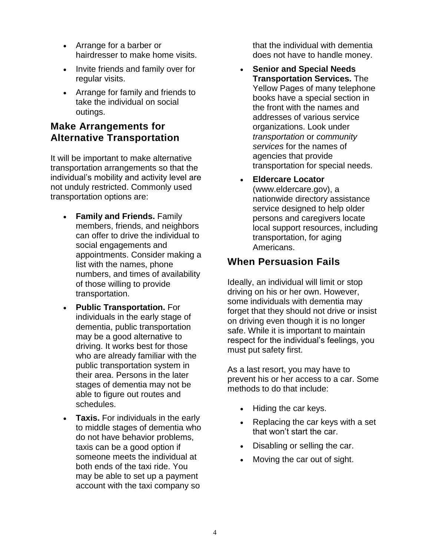- Arrange for a barber or hairdresser to make home visits.
- Invite friends and family over for regular visits.
- Arrange for family and friends to take the individual on social outings.

#### **Make Arrangements for Alternative Transportation**

It will be important to make alternative transportation arrangements so that the individual's mobility and activity level are not unduly restricted. Commonly used transportation options are:

- **Family and Friends.** Family members, friends, and neighbors can offer to drive the individual to social engagements and appointments. Consider making a list with the names, phone numbers, and times of availability of those willing to provide transportation.
- **Public Transportation.** For individuals in the early stage of dementia, public transportation may be a good alternative to driving. It works best for those who are already familiar with the public transportation system in their area. Persons in the later stages of dementia may not be able to figure out routes and schedules.
- **Taxis.** For individuals in the early to middle stages of dementia who do not have behavior problems, taxis can be a good option if someone meets the individual at both ends of the taxi ride. You may be able to set up a payment account with the taxi company so

that the individual with dementia does not have to handle money.

- **Senior and Special Needs Transportation Services.** The Yellow Pages of many telephone books have a special section in the front with the names and addresses of various service organizations. Look under *transportation* or *community services* for the names of agencies that provide transportation for special needs.
- **Eldercare Locator**  (www.eldercare.gov), a nationwide directory assistance service designed to help older persons and caregivers locate local support resources, including transportation, for aging Americans.

### **When Persuasion Fails**

Ideally, an individual will limit or stop driving on his or her own. However, some individuals with dementia may forget that they should not drive or insist on driving even though it is no longer safe. While it is important to maintain respect for the individual's feelings, you must put safety first.

As a last resort, you may have to prevent his or her access to a car. Some methods to do that include:

- Hiding the car keys.
- Replacing the car keys with a set that won't start the car.
- Disabling or selling the car.
- Moving the car out of sight.